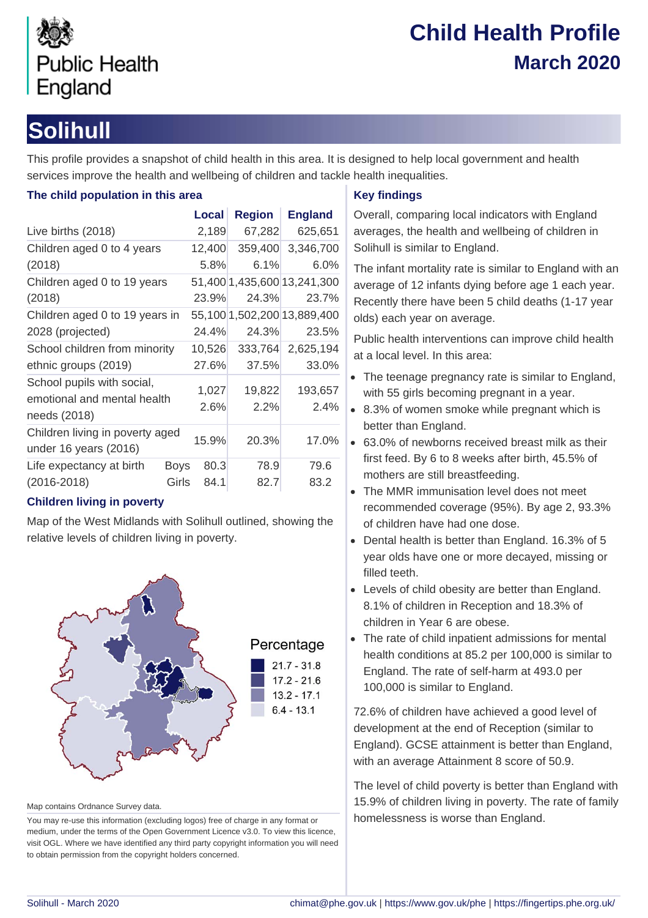

# **Child Health Profile March 2020**

# **Solihull**

This profile provides a snapshot of child health in this area. It is designed to help local government and health services improve the health and wellbeing of children and tackle health inequalities.

## **The child population in this area**

|                                                           |             | Local  | <b>Region</b> | <b>England</b>              |  |
|-----------------------------------------------------------|-------------|--------|---------------|-----------------------------|--|
| Live births (2018)                                        |             | 2,189  | 67,282        | 625,651                     |  |
| Children aged 0 to 4 years                                |             | 12,400 | 359,400       | 3,346,700                   |  |
| (2018)                                                    |             | 5.8%   | 6.1%          | 6.0%                        |  |
| Children aged 0 to 19 years                               |             |        |               | 51,400 1,435,600 13,241,300 |  |
| (2018)                                                    |             | 23.9%  | 24.3%         | 23.7%                       |  |
| Children aged 0 to 19 years in                            |             |        |               | 55,100 1,502,200 13,889,400 |  |
| 2028 (projected)                                          |             | 24.4%  | 24.3%         | 23.5%                       |  |
| School children from minority                             |             | 10,526 | 333,764       | 2,625,194                   |  |
| ethnic groups (2019)                                      |             | 27.6%  | 37.5%         | 33.0%                       |  |
| School pupils with social,<br>emotional and mental health |             | 1,027  | 19,822        | 193,657                     |  |
| needs (2018)                                              |             | 2.6%   | 2.2%          | 2.4%                        |  |
| Children living in poverty aged<br>under 16 years (2016)  |             | 15.9%  | 20.3%         | 17.0%                       |  |
| Life expectancy at birth                                  | <b>Boys</b> | 80.3   | 78.9          | 79.6                        |  |
| $(2016 - 2018)$                                           | Girls       | 84.1   | 82.7          | 83.2                        |  |

## **Children living in poverty**

Map of the West Midlands with Solihull outlined, showing the relative levels of children living in poverty.



Map contains Ordnance Survey data.

You may re-use this information (excluding logos) free of charge in any format or medium, under the terms of the Open Government Licence v3.0. To view this licence, visit OGL. Where we have identified any third party copyright information you will need to obtain permission from the copyright holders concerned.

## **Key findings**

Overall, comparing local indicators with England averages, the health and wellbeing of children in Solihull is similar to England.

The infant mortality rate is similar to England with an average of 12 infants dying before age 1 each year. Recently there have been 5 child deaths (1-17 year olds) each year on average.

Public health interventions can improve child health at a local level. In this area:

- The teenage pregnancy rate is similar to England, with 55 girls becoming pregnant in a year.
- 8.3% of women smoke while pregnant which is better than England.
- 63.0% of newborns received breast milk as their first feed. By 6 to 8 weeks after birth, 45.5% of mothers are still breastfeeding.
- The MMR immunisation level does not meet recommended coverage (95%). By age 2, 93.3% of children have had one dose.
- Dental health is better than England. 16.3% of 5 year olds have one or more decayed, missing or filled teeth.
- Levels of child obesity are better than England. 8.1% of children in Reception and 18.3% of children in Year 6 are obese.
- The rate of child inpatient admissions for mental health conditions at 85.2 per 100,000 is similar to England. The rate of self-harm at 493.0 per 100,000 is similar to England.

72.6% of children have achieved a good level of development at the end of Reception (similar to England). GCSE attainment is better than England, with an average Attainment 8 score of 50.9.

The level of child poverty is better than England with 15.9% of children living in poverty. The rate of family homelessness is worse than England.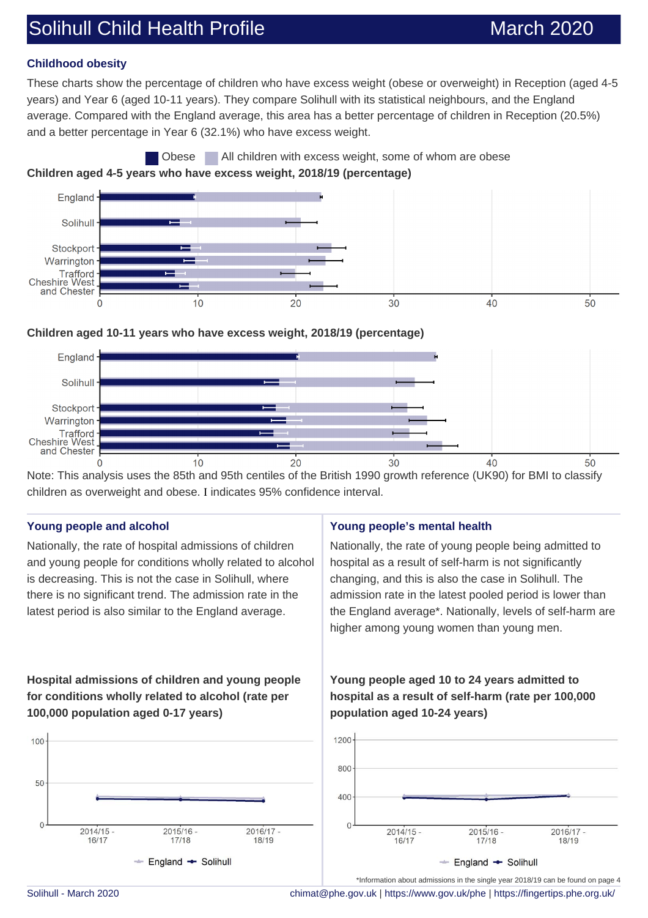# Solihull Child Health Profile March 2020

### **Childhood obesity**

These charts show the percentage of children who have excess weight (obese or overweight) in Reception (aged 4-5 years) and Year 6 (aged 10-11 years). They compare Solihull with its statistical neighbours, and the England average. Compared with the England average, this area has a better percentage of children in Reception (20.5%) and a better percentage in Year 6 (32.1%) who have excess weight.





#### **Children aged 10-11 years who have excess weight, 2018/19 (percentage)**



Note: This analysis uses the 85th and 95th centiles of the British 1990 growth reference (UK90) for BMI to classify children as overweight and obese. I indicates 95% confidence interval.

#### **Young people and alcohol**

Nationally, the rate of hospital admissions of children and young people for conditions wholly related to alcohol is decreasing. This is not the case in Solihull, where there is no significant trend. The admission rate in the latest period is also similar to the England average.

# **Young people's mental health**

Nationally, the rate of young people being admitted to hospital as a result of self-harm is not significantly changing, and this is also the case in Solihull. The admission rate in the latest pooled period is lower than the England average\*. Nationally, levels of self-harm are higher among young women than young men.

## **Hospital admissions of children and young people for conditions wholly related to alcohol (rate per 100,000 population aged 0-17 years)**



## **Young people aged 10 to 24 years admitted to hospital as a result of self-harm (rate per 100,000 population aged 10-24 years)**



Solihull - March 2020 [chimat@phe.gov.uk](mailto:chimat@phe.gov.uk) |<https://www.gov.uk/phe>|<https://fingertips.phe.org.uk/>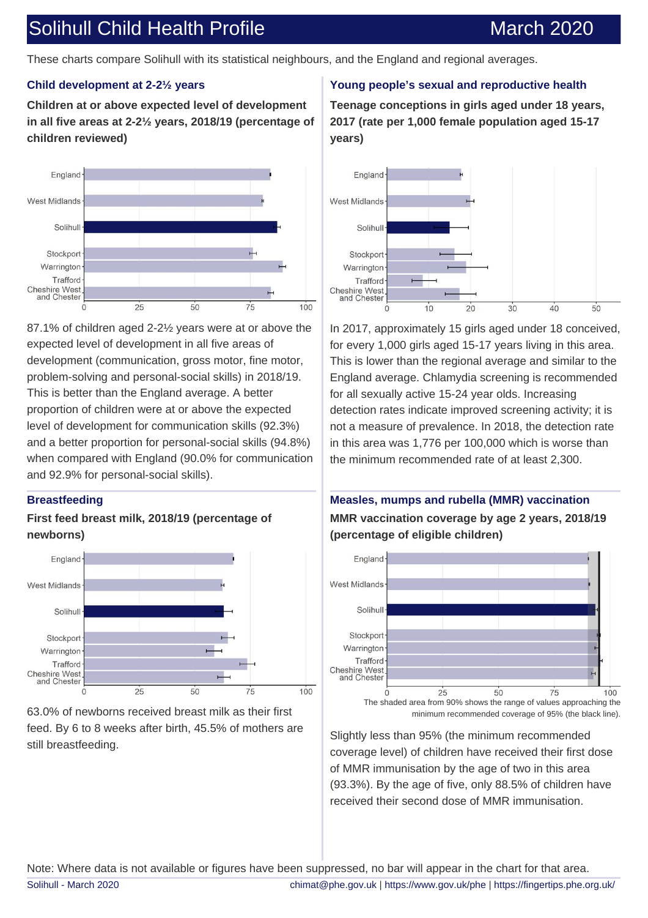# Solihull Child Health Profile March 2020

These charts compare Solihull with its statistical neighbours, and the England and regional averages.

### **Child development at 2-2½ years**

**Children at or above expected level of development in all five areas at 2-2½ years, 2018/19 (percentage of children reviewed)**



87.1% of children aged 2-2½ years were at or above the expected level of development in all five areas of development (communication, gross motor, fine motor, problem-solving and personal-social skills) in 2018/19. This is better than the England average. A better proportion of children were at or above the expected level of development for communication skills (92.3%) and a better proportion for personal-social skills (94.8%) when compared with England (90.0% for communication and 92.9% for personal-social skills).

#### **Breastfeeding**

### **First feed breast milk, 2018/19 (percentage of newborns)**



63.0% of newborns received breast milk as their first feed. By 6 to 8 weeks after birth, 45.5% of mothers are still breastfeeding.

#### **Young people's sexual and reproductive health**

**Teenage conceptions in girls aged under 18 years, 2017 (rate per 1,000 female population aged 15-17 years)**



In 2017, approximately 15 girls aged under 18 conceived, for every 1,000 girls aged 15-17 years living in this area. This is lower than the regional average and similar to the England average. Chlamydia screening is recommended for all sexually active 15-24 year olds. Increasing detection rates indicate improved screening activity; it is not a measure of prevalence. In 2018, the detection rate in this area was 1,776 per 100,000 which is worse than the minimum recommended rate of at least 2,300.

## **Measles, mumps and rubella (MMR) vaccination MMR vaccination coverage by age 2 years, 2018/19 (percentage of eligible children)**



Slightly less than 95% (the minimum recommended coverage level) of children have received their first dose of MMR immunisation by the age of two in this area (93.3%). By the age of five, only 88.5% of children have received their second dose of MMR immunisation.